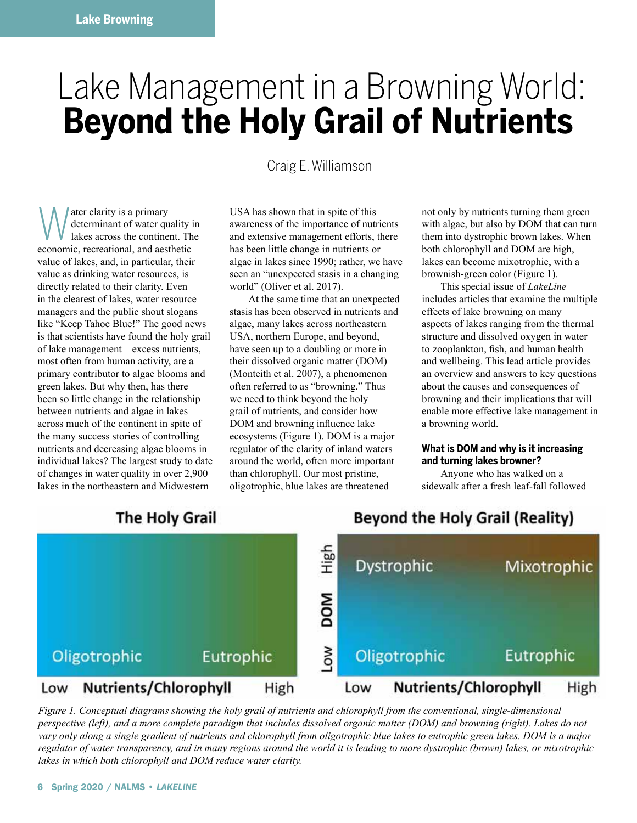# Lake Management in a Browning World: **Beyond the Holy Grail of Nutrients**

Craig E. Williamson

Water clarity is a primary<br>determinant of water qu<br>lakes across the continent determinant of water quality in lakes across the continent. The economic, recreational, and aesthetic value of lakes, and, in particular, their value as drinking water resources, is directly related to their clarity. Even in the clearest of lakes, water resource managers and the public shout slogans like "Keep Tahoe Blue!" The good news is that scientists have found the holy grail of lake management – excess nutrients, most often from human activity, are a primary contributor to algae blooms and green lakes. But why then, has there been so little change in the relationship between nutrients and algae in lakes across much of the continent in spite of the many success stories of controlling nutrients and decreasing algae blooms in individual lakes? The largest study to date of changes in water quality in over 2,900 lakes in the northeastern and Midwestern

USA has shown that in spite of this awareness of the importance of nutrients and extensive management efforts, there has been little change in nutrients or algae in lakes since 1990; rather, we have seen an "unexpected stasis in a changing world" (Oliver et al. 2017).

At the same time that an unexpected stasis has been observed in nutrients and algae, many lakes across northeastern USA, northern Europe, and beyond, have seen up to a doubling or more in their dissolved organic matter (DOM) (Monteith et al. 2007), a phenomenon often referred to as "browning." Thus we need to think beyond the holy grail of nutrients, and consider how DOM and browning influence lake ecosystems (Figure 1). DOM is a major regulator of the clarity of inland waters around the world, often more important than chlorophyll. Our most pristine, oligotrophic, blue lakes are threatened

not only by nutrients turning them green with algae, but also by DOM that can turn them into dystrophic brown lakes. When both chlorophyll and DOM are high, lakes can become mixotrophic, with a brownish-green color (Figure 1).

This special issue of *LakeLine* includes articles that examine the multiple effects of lake browning on many aspects of lakes ranging from the thermal structure and dissolved oxygen in water to zooplankton, fish, and human health and wellbeing. This lead article provides an overview and answers to key questions about the causes and consequences of browning and their implications that will enable more effective lake management in a browning world.

### **What is DOM and why is it increasing and turning lakes browner?**

Anyone who has walked on a sidewalk after a fresh leaf-fall followed



*Figure 1. Conceptual diagrams showing the holy grail of nutrients and chlorophyll from the conventional, single-dimensional perspective (left), and a more complete paradigm that includes dissolved organic matter (DOM) and browning (right). Lakes do not vary only along a single gradient of nutrients and chlorophyll from oligotrophic blue lakes to eutrophic green lakes. DOM is a major regulator of water transparency, and in many regions around the world it is leading to more dystrophic (brown) lakes, or mixotrophic lakes in which both chlorophyll and DOM reduce water clarity.*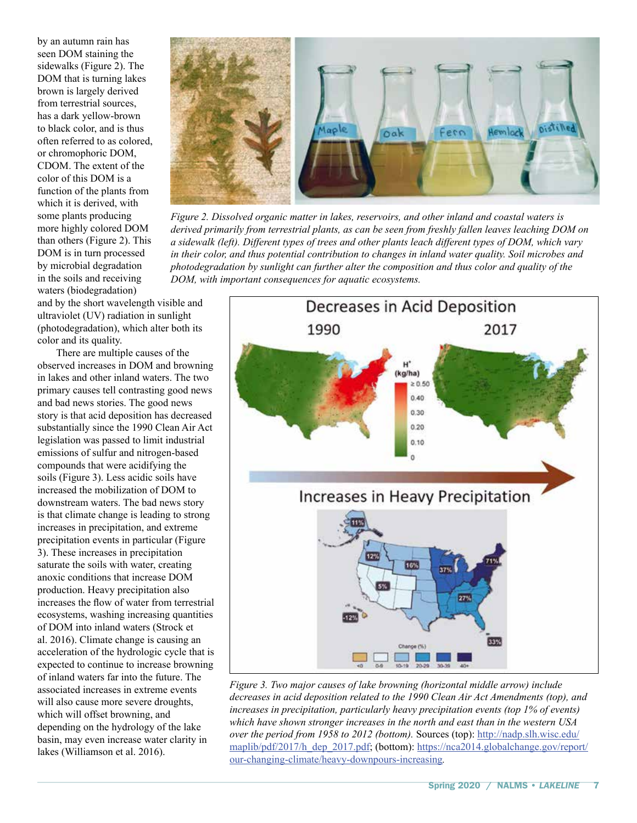by an autumn rain has seen DOM staining the sidewalks (Figure 2). The DOM that is turning lakes brown is largely derived from terrestrial sources, has a dark yellow-brown to black color, and is thus often referred to as colored, or chromophoric DOM, CDOM. The extent of the color of this DOM is a function of the plants from which it is derived, with some plants producing more highly colored DOM than others (Figure 2). This DOM is in turn processed by microbial degradation in the soils and receiving waters (biodegradation)

and by the short wavelength visible and ultraviolet (UV) radiation in sunlight (photodegradation), which alter both its color and its quality.

There are multiple causes of the observed increases in DOM and browning in lakes and other inland waters. The two primary causes tell contrasting good news and bad news stories. The good news story is that acid deposition has decreased substantially since the 1990 Clean Air Act legislation was passed to limit industrial emissions of sulfur and nitrogen-based compounds that were acidifying the soils (Figure 3). Less acidic soils have increased the mobilization of DOM to downstream waters. The bad news story is that climate change is leading to strong increases in precipitation, and extreme precipitation events in particular (Figure 3). These increases in precipitation saturate the soils with water, creating anoxic conditions that increase DOM production. Heavy precipitation also increases the flow of water from terrestrial ecosystems, washing increasing quantities of DOM into inland waters (Strock et al. 2016). Climate change is causing an acceleration of the hydrologic cycle that is expected to continue to increase browning of inland waters far into the future. The associated increases in extreme events will also cause more severe droughts, which will offset browning, and depending on the hydrology of the lake basin, may even increase water clarity in lakes (Williamson et al. 2016).



*Figure 2. Dissolved organic matter in lakes, reservoirs, and other inland and coastal waters is derived primarily from terrestrial plants, as can be seen from freshly fallen leaves leaching DOM on a sidewalk (left). Different types of trees and other plants leach different types of DOM, which vary in their color, and thus potential contribution to changes in inland water quality. Soil microbes and photodegradation by sunlight can further alter the composition and thus color and quality of the DOM, with important consequences for aquatic ecosystems.*



*Figure 3. Two major causes of lake browning (horizontal middle arrow) include decreases in acid deposition related to the 1990 Clean Air Act Amendments (top), and increases in precipitation, particularly heavy precipitation events (top 1% of events) which have shown stronger increases in the north and east than in the western USA over the period from 1958 to 2012 (bottom).* Sources (top): [http://nadp.slh.wisc.edu/](http://nadp.slh.wisc.edu/maplib/pdf/2017/h_dep_2017.pdf) [maplib/pdf/2017/h\\_dep\\_2017.pdf;](http://nadp.slh.wisc.edu/maplib/pdf/2017/h_dep_2017.pdf) (bottom): [https://nca2014.globalchange.gov/report/](https://nca2014.globalchange.gov/report/our-changing-climate/heavy-downpours-increasing) [our-changing-climate/heavy-downpours-increasing](https://nca2014.globalchange.gov/report/our-changing-climate/heavy-downpours-increasing)*.*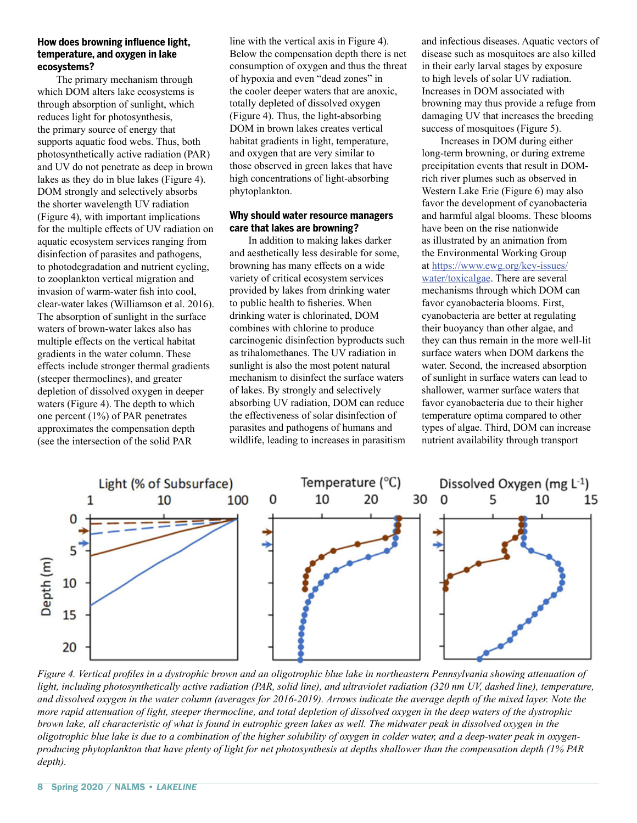#### **How does browning influence light, temperature, and oxygen in lake ecosystems?**

The primary mechanism through which DOM alters lake ecosystems is through absorption of sunlight, which reduces light for photosynthesis, the primary source of energy that supports aquatic food webs. Thus, both photosynthetically active radiation (PAR) and UV do not penetrate as deep in brown lakes as they do in blue lakes (Figure 4). DOM strongly and selectively absorbs the shorter wavelength UV radiation (Figure 4), with important implications for the multiple effects of UV radiation on aquatic ecosystem services ranging from disinfection of parasites and pathogens, to photodegradation and nutrient cycling, to zooplankton vertical migration and invasion of warm-water fish into cool, clear-water lakes (Williamson et al. 2016). The absorption of sunlight in the surface waters of brown-water lakes also has multiple effects on the vertical habitat gradients in the water column. These effects include stronger thermal gradients (steeper thermoclines), and greater depletion of dissolved oxygen in deeper waters (Figure 4). The depth to which one percent (1%) of PAR penetrates approximates the compensation depth (see the intersection of the solid PAR

line with the vertical axis in Figure 4). Below the compensation depth there is net consumption of oxygen and thus the threat of hypoxia and even "dead zones" in the cooler deeper waters that are anoxic, totally depleted of dissolved oxygen (Figure 4). Thus, the light-absorbing DOM in brown lakes creates vertical habitat gradients in light, temperature, and oxygen that are very similar to those observed in green lakes that have high concentrations of light-absorbing phytoplankton.

#### **Why should water resource managers care that lakes are browning?**

In addition to making lakes darker and aesthetically less desirable for some, browning has many effects on a wide variety of critical ecosystem services provided by lakes from drinking water to public health to fisheries. When drinking water is chlorinated, DOM combines with chlorine to produce carcinogenic disinfection byproducts such as trihalomethanes. The UV radiation in sunlight is also the most potent natural mechanism to disinfect the surface waters of lakes. By strongly and selectively absorbing UV radiation, DOM can reduce the effectiveness of solar disinfection of parasites and pathogens of humans and wildlife, leading to increases in parasitism and infectious diseases. Aquatic vectors of disease such as mosquitoes are also killed in their early larval stages by exposure to high levels of solar UV radiation. Increases in DOM associated with browning may thus provide a refuge from damaging UV that increases the breeding success of mosquitoes (Figure 5).

Increases in DOM during either long-term browning, or during extreme precipitation events that result in DOMrich river plumes such as observed in Western Lake Erie (Figure 6) may also favor the development of cyanobacteria and harmful algal blooms. These blooms have been on the rise nationwide as illustrated by an animation from the Environmental Working Group at [https://www.ewg.org/key-issues/](https://www.ewg.org/key-issues/water/toxicalgae) [water/toxicalgae.](https://www.ewg.org/key-issues/water/toxicalgae) There are several mechanisms through which DOM can favor cyanobacteria blooms. First, cyanobacteria are better at regulating their buoyancy than other algae, and they can thus remain in the more well-lit surface waters when DOM darkens the water. Second, the increased absorption of sunlight in surface waters can lead to shallower, warmer surface waters that favor cyanobacteria due to their higher temperature optima compared to other types of algae. Third, DOM can increase nutrient availability through transport



*Figure 4. Vertical profiles in a dystrophic brown and an oligotrophic blue lake in northeastern Pennsylvania showing attenuation of*  light, including photosynthetically active radiation (PAR, solid line), and ultraviolet radiation (320 nm UV, dashed line), temperature, *and dissolved oxygen in the water column (averages for 2016-2019). Arrows indicate the average depth of the mixed layer. Note the more rapid attenuation of light, steeper thermocline, and total depletion of dissolved oxygen in the deep waters of the dystrophic brown lake, all characteristic of what is found in eutrophic green lakes as well. The midwater peak in dissolved oxygen in the oligotrophic blue lake is due to a combination of the higher solubility of oxygen in colder water, and a deep-water peak in oxygenproducing phytoplankton that have plenty of light for net photosynthesis at depths shallower than the compensation depth (1% PAR depth).*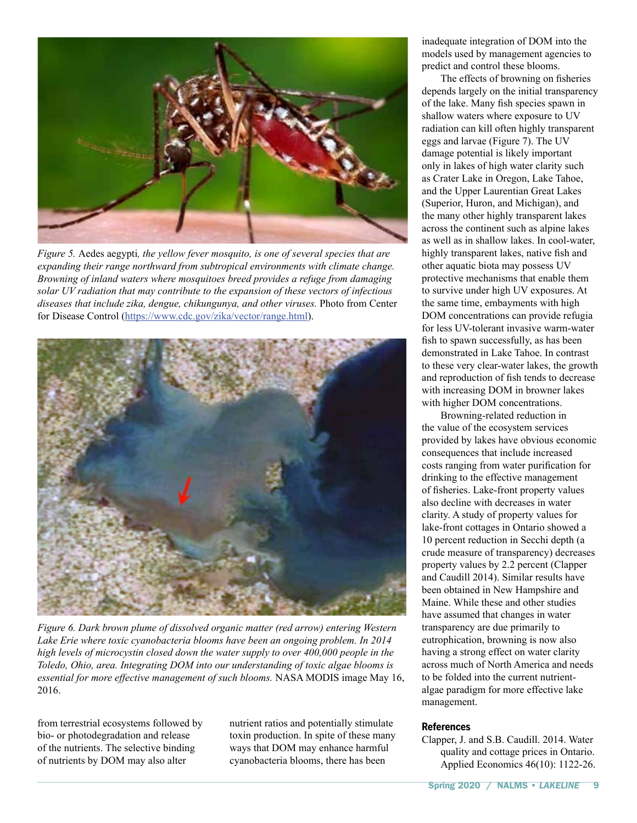

*Figure 5.* Aedes aegypti*, the yellow fever mosquito, is one of several species that are expanding their range northward from subtropical environments with climate change. Browning of inland waters where mosquitoes breed provides a refuge from damaging solar UV radiation that may contribute to the expansion of these vectors of infectious diseases that include zika, dengue, chikungunya, and other viruses.* Photo from Center for Disease Control [\(https://www.cdc.gov/zika/vector/range.html\)](https://www.cdc.gov/zika/vector/range.html).



*Figure 6. Dark brown plume of dissolved organic matter (red arrow) entering Western Lake Erie where toxic cyanobacteria blooms have been an ongoing problem. In 2014 high levels of microcystin closed down the water supply to over 400,000 people in the Toledo, Ohio, area. Integrating DOM into our understanding of toxic algae blooms is essential for more effective management of such blooms.* NASA MODIS image May 16, 2016.

from terrestrial ecosystems followed by bio- or photodegradation and release of the nutrients. The selective binding of nutrients by DOM may also alter

nutrient ratios and potentially stimulate toxin production. In spite of these many ways that DOM may enhance harmful cyanobacteria blooms, there has been

inadequate integration of DOM into the models used by management agencies to predict and control these blooms.

The effects of browning on fisheries depends largely on the initial transparency of the lake. Many fish species spawn in shallow waters where exposure to UV radiation can kill often highly transparent eggs and larvae (Figure 7). The UV damage potential is likely important only in lakes of high water clarity such as Crater Lake in Oregon, Lake Tahoe, and the Upper Laurentian Great Lakes (Superior, Huron, and Michigan), and the many other highly transparent lakes across the continent such as alpine lakes as well as in shallow lakes. In cool-water, highly transparent lakes, native fish and other aquatic biota may possess UV protective mechanisms that enable them to survive under high UV exposures. At the same time, embayments with high DOM concentrations can provide refugia for less UV-tolerant invasive warm-water fish to spawn successfully, as has been demonstrated in Lake Tahoe. In contrast to these very clear-water lakes, the growth and reproduction of fish tends to decrease with increasing DOM in browner lakes with higher DOM concentrations.

Browning-related reduction in the value of the ecosystem services provided by lakes have obvious economic consequences that include increased costs ranging from water purification for drinking to the effective management of fisheries. Lake-front property values also decline with decreases in water clarity. A study of property values for lake-front cottages in Ontario showed a 10 percent reduction in Secchi depth (a crude measure of transparency) decreases property values by 2.2 percent (Clapper and Caudill 2014). Similar results have been obtained in New Hampshire and Maine. While these and other studies have assumed that changes in water transparency are due primarily to eutrophication, browning is now also having a strong effect on water clarity across much of North America and needs to be folded into the current nutrientalgae paradigm for more effective lake management.

#### **References**

Clapper, J. and S.B. Caudill. 2014. Water quality and cottage prices in Ontario. Applied Economics 46(10): 1122-26.